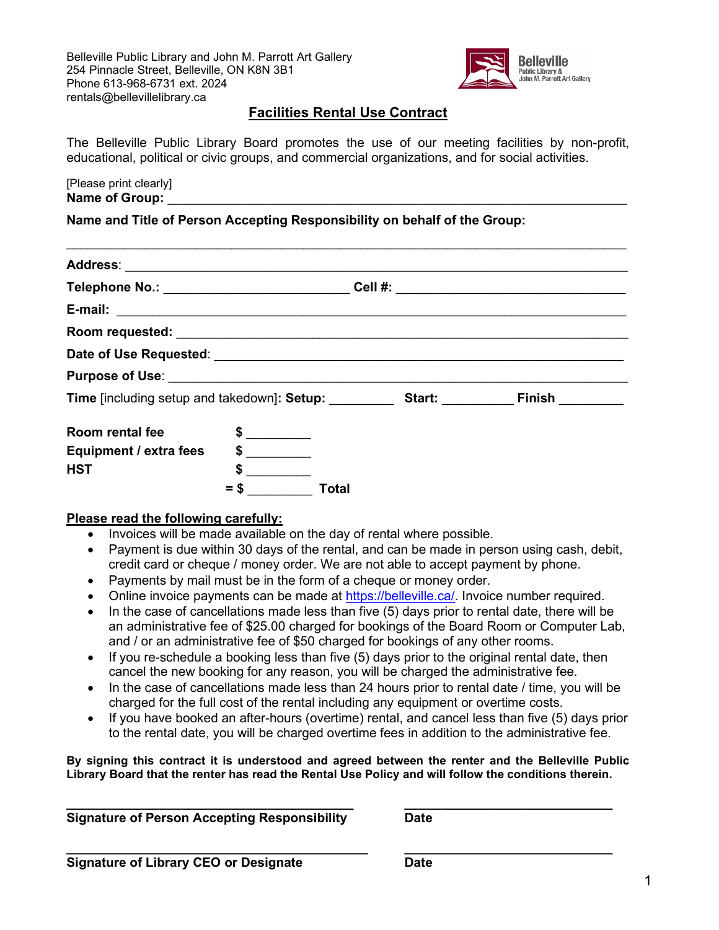

# **Facilities Rental Use Contract**

The Belleville Public Library Board promotes the use of our meeting facilities by non-profit, educational, political or civic groups, and commercial organizations, and for social activities.

[Please print clearly] Name of Group:

**Name and Title of Person Accepting Responsibility on behalf of the Group:** 

| Room rental fee        | $\frac{1}{\sqrt{2}}$ |       |  |  |
|------------------------|----------------------|-------|--|--|
| Equipment / extra fees | $\frac{1}{2}$        |       |  |  |
| <b>HST</b>             |                      |       |  |  |
|                        | S                    | Total |  |  |

### **Please read the following carefully:**

- Invoices will be made available on the day of rental where possible.
- Payment is due within 30 days of the rental, and can be made in person using cash, debit, credit card or cheque / money order. We are not able to accept payment by phone.
- Payments by mail must be in the form of a cheque or money order.
- Online invoice payments can be made at [https://belleville.ca/.](https://belleville.ca/) Invoice number required.
- In the case of cancellations made less than five (5) days prior to rental date, there will be an administrative fee of \$25.00 charged for bookings of the Board Room or Computer Lab, and / or an administrative fee of \$50 charged for bookings of any other rooms.
- If you re-schedule a booking less than five (5) days prior to the original rental date, then cancel the new booking for any reason, you will be charged the administrative fee.
- In the case of cancellations made less than 24 hours prior to rental date / time, you will be charged for the full cost of the rental including any equipment or overtime costs.
- If you have booked an after-hours (overtime) rental, and cancel less than five (5) days prior to the rental date, you will be charged overtime fees in addition to the administrative fee.

**By signing this contract it is understood and agreed between the renter and the Belleville Public Library Board that the renter has read the Rental Use Policy and will follow the conditions therein.** 

**\_\_\_\_\_\_\_\_\_\_\_\_\_\_\_\_\_\_\_\_\_\_\_\_\_\_\_\_\_\_\_\_\_\_\_\_\_\_\_\_ \_\_\_\_\_\_\_\_\_\_\_\_\_\_\_\_\_\_\_\_\_\_\_\_\_\_\_\_\_ Signature of Person Accepting Responsibility Date**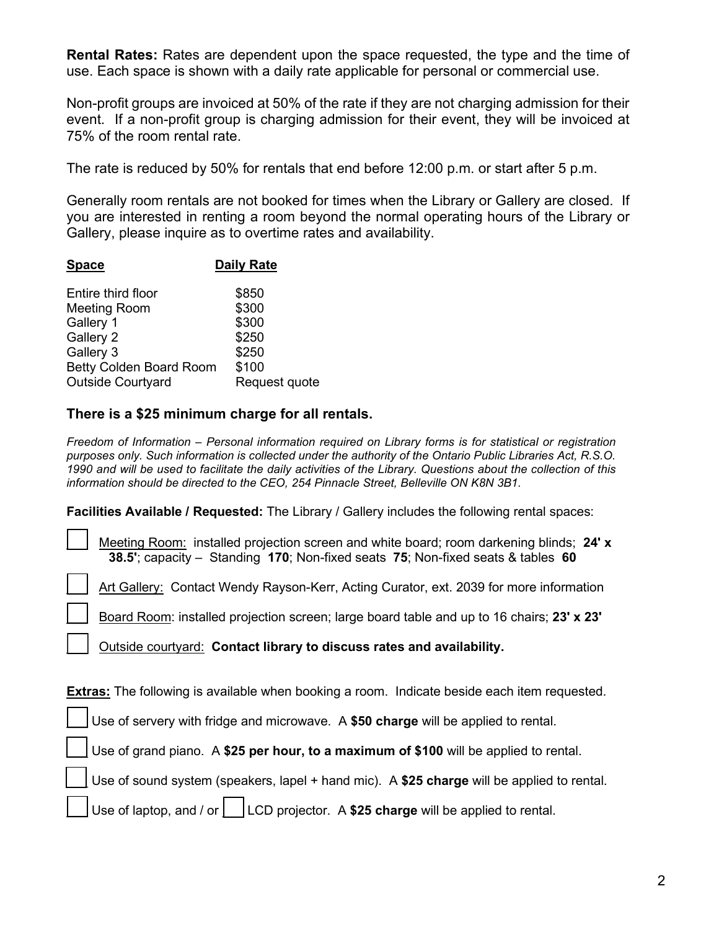**Rental Rates:** Rates are dependent upon the space requested, the type and the time of use. Each space is shown with a daily rate applicable for personal or commercial use.

Non-profit groups are invoiced at 50% of the rate if they are not charging admission for their event. If a non-profit group is charging admission for their event, they will be invoiced at 75% of the room rental rate.

The rate is reduced by 50% for rentals that end before 12:00 p.m. or start after 5 p.m.

Generally room rentals are not booked for times when the Library or Gallery are closed. If you are interested in renting a room beyond the normal operating hours of the Library or Gallery, please inquire as to overtime rates and availability.

| <b>Daily Rate</b>                |  |  |  |  |  |  |
|----------------------------------|--|--|--|--|--|--|
| \$850                            |  |  |  |  |  |  |
| \$300                            |  |  |  |  |  |  |
| \$300                            |  |  |  |  |  |  |
| \$250                            |  |  |  |  |  |  |
| \$250                            |  |  |  |  |  |  |
| \$100<br>Betty Colden Board Room |  |  |  |  |  |  |
| Request quote                    |  |  |  |  |  |  |
|                                  |  |  |  |  |  |  |

# **There is a \$25 minimum charge for all rentals.**

*Freedom of Information – Personal information required on Library forms is for statistical or registration purposes only. Such information is collected under the authority of the Ontario Public Libraries Act, R.S.O. 1990 and will be used to facilitate the daily activities of the Library. Questions about the collection of this information should be directed to the CEO, 254 Pinnacle Street, Belleville ON K8N 3B1.*

**Facilities Available / Requested:** The Library / Gallery includes the following rental spaces:

\_\_\_ Meeting Room: installed projection screen and white board; room darkening blinds; **24' x 38.5'**; capacity – Standing **170**; Non-fixed seats **75**; Non-fixed seats & tables **60** 

Art Gallery: Contact Wendy Rayson-Kerr, Acting Curator, ext. 2039 for more information

\_\_\_ Board Room: installed projection screen; large board table and up to 16 chairs; **23' x 23'**

\_\_\_ Outside courtyard: **Contact library to discuss rates and availability.** 

**Extras:** The following is available when booking a room. Indicate beside each item requested.

Use of servery with fridge and microwave. A **\$50 charge** will be applied to rental.

\_\_\_ Use of grand piano. A **\$25 per hour, to a maximum of \$100** will be applied to rental.

\_\_\_ Use of sound system (speakers, lapel + hand mic). A **\$25 charge** will be applied to rental.

Use of laptop, and / or  $\vert$  LCD projector. A \$25 charge will be applied to rental.